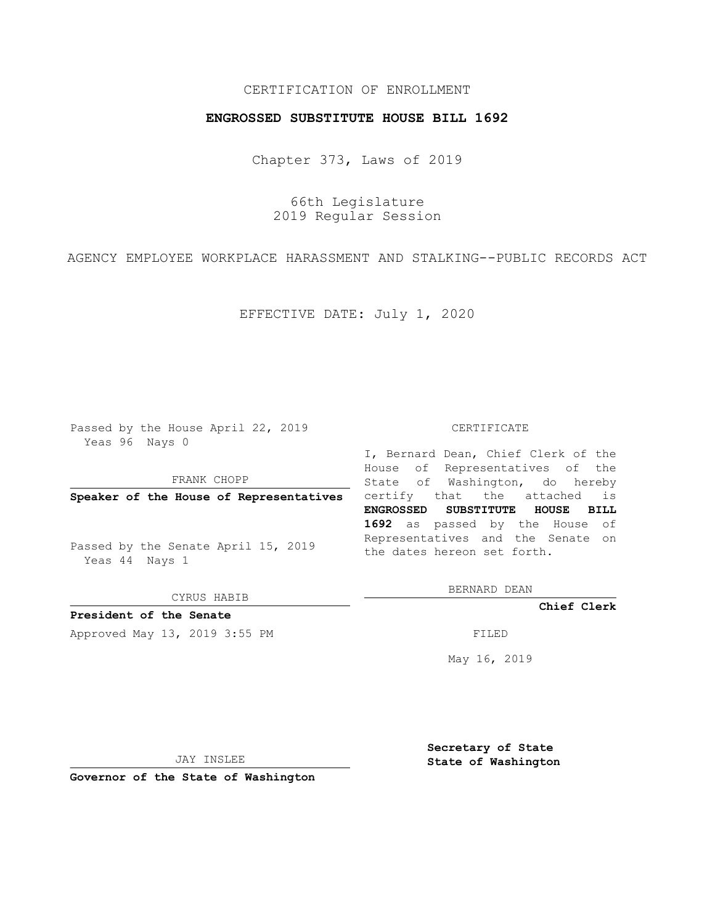## CERTIFICATION OF ENROLLMENT

## **ENGROSSED SUBSTITUTE HOUSE BILL 1692**

Chapter 373, Laws of 2019

66th Legislature 2019 Regular Session

AGENCY EMPLOYEE WORKPLACE HARASSMENT AND STALKING--PUBLIC RECORDS ACT

EFFECTIVE DATE: July 1, 2020

Passed by the House April 22, 2019 Yeas 96 Nays 0

FRANK CHOPP

Passed by the Senate April 15, 2019 Yeas 44 Nays 1

CYRUS HABIB

**President of the Senate**

Approved May 13, 2019 3:55 PM FILED

#### CERTIFICATE

**Speaker of the House of Representatives** certify that the attached is I, Bernard Dean, Chief Clerk of the House of Representatives of the State of Washington, do hereby **ENGROSSED SUBSTITUTE HOUSE BILL 1692** as passed by the House of Representatives and the Senate on the dates hereon set forth.

BERNARD DEAN

**Chief Clerk**

May 16, 2019

JAY INSLEE

**Governor of the State of Washington**

**Secretary of State State of Washington**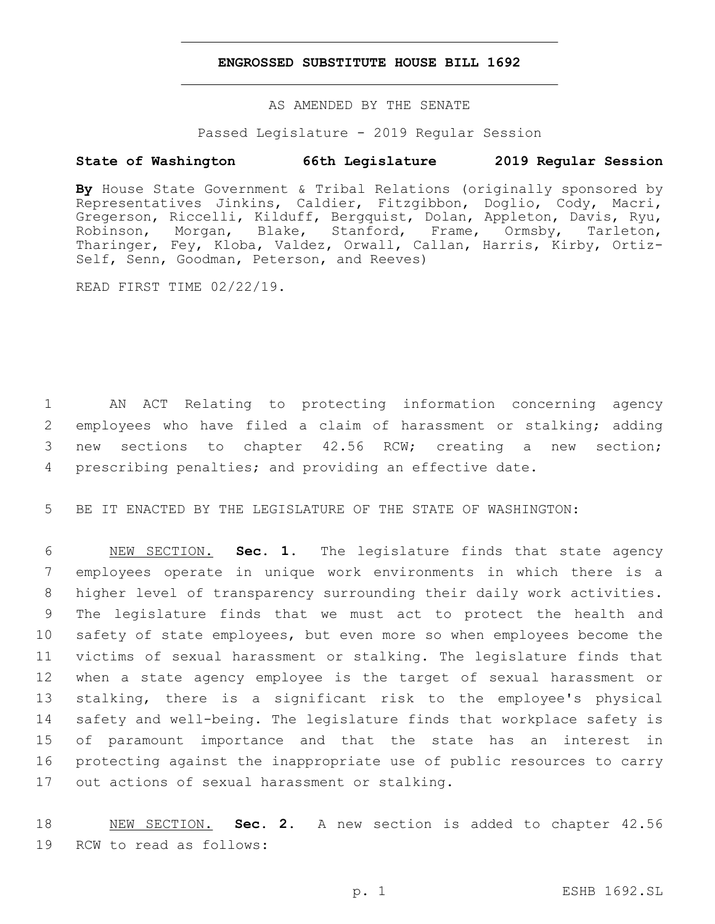### **ENGROSSED SUBSTITUTE HOUSE BILL 1692**

AS AMENDED BY THE SENATE

Passed Legislature - 2019 Regular Session

# **State of Washington 66th Legislature 2019 Regular Session**

**By** House State Government & Tribal Relations (originally sponsored by Representatives Jinkins, Caldier, Fitzgibbon, Doglio, Cody, Macri, Gregerson, Riccelli, Kilduff, Bergquist, Dolan, Appleton, Davis, Ryu, Robinson, Morgan, Blake, Stanford, Frame, Ormsby, Tarleton, Tharinger, Fey, Kloba, Valdez, Orwall, Callan, Harris, Kirby, Ortiz-Self, Senn, Goodman, Peterson, and Reeves)

READ FIRST TIME 02/22/19.

 AN ACT Relating to protecting information concerning agency 2 employees who have filed a claim of harassment or stalking; adding new sections to chapter 42.56 RCW; creating a new section; prescribing penalties; and providing an effective date.

5 BE IT ENACTED BY THE LEGISLATURE OF THE STATE OF WASHINGTON:

 NEW SECTION. **Sec. 1.** The legislature finds that state agency employees operate in unique work environments in which there is a higher level of transparency surrounding their daily work activities. The legislature finds that we must act to protect the health and safety of state employees, but even more so when employees become the victims of sexual harassment or stalking. The legislature finds that when a state agency employee is the target of sexual harassment or stalking, there is a significant risk to the employee's physical safety and well-being. The legislature finds that workplace safety is of paramount importance and that the state has an interest in protecting against the inappropriate use of public resources to carry out actions of sexual harassment or stalking.

18 NEW SECTION. **Sec. 2.** A new section is added to chapter 42.56 19 RCW to read as follows: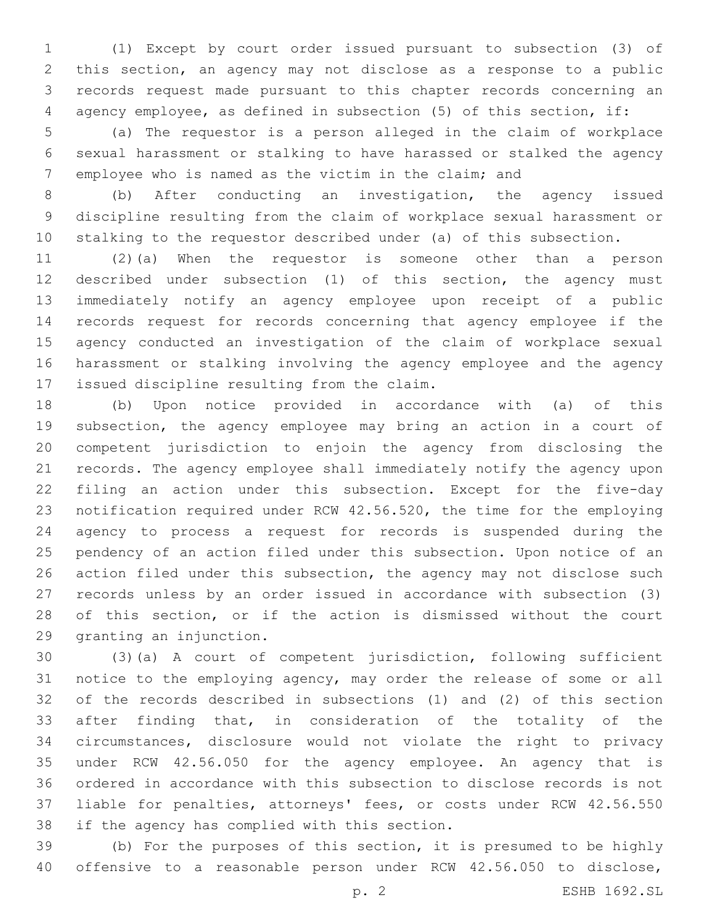(1) Except by court order issued pursuant to subsection (3) of this section, an agency may not disclose as a response to a public records request made pursuant to this chapter records concerning an agency employee, as defined in subsection (5) of this section, if:

 (a) The requestor is a person alleged in the claim of workplace sexual harassment or stalking to have harassed or stalked the agency employee who is named as the victim in the claim; and

 (b) After conducting an investigation, the agency issued discipline resulting from the claim of workplace sexual harassment or stalking to the requestor described under (a) of this subsection.

 (2)(a) When the requestor is someone other than a person described under subsection (1) of this section, the agency must immediately notify an agency employee upon receipt of a public records request for records concerning that agency employee if the agency conducted an investigation of the claim of workplace sexual harassment or stalking involving the agency employee and the agency 17 issued discipline resulting from the claim.

 (b) Upon notice provided in accordance with (a) of this subsection, the agency employee may bring an action in a court of competent jurisdiction to enjoin the agency from disclosing the records. The agency employee shall immediately notify the agency upon filing an action under this subsection. Except for the five-day notification required under RCW 42.56.520, the time for the employing agency to process a request for records is suspended during the pendency of an action filed under this subsection. Upon notice of an 26 action filed under this subsection, the agency may not disclose such records unless by an order issued in accordance with subsection (3) of this section, or if the action is dismissed without the court 29 granting an injunction.

 (3)(a) A court of competent jurisdiction, following sufficient notice to the employing agency, may order the release of some or all of the records described in subsections (1) and (2) of this section after finding that, in consideration of the totality of the circumstances, disclosure would not violate the right to privacy under RCW 42.56.050 for the agency employee. An agency that is ordered in accordance with this subsection to disclose records is not liable for penalties, attorneys' fees, or costs under RCW 42.56.550 38 if the agency has complied with this section.

 (b) For the purposes of this section, it is presumed to be highly offensive to a reasonable person under RCW 42.56.050 to disclose,

p. 2 ESHB 1692.SL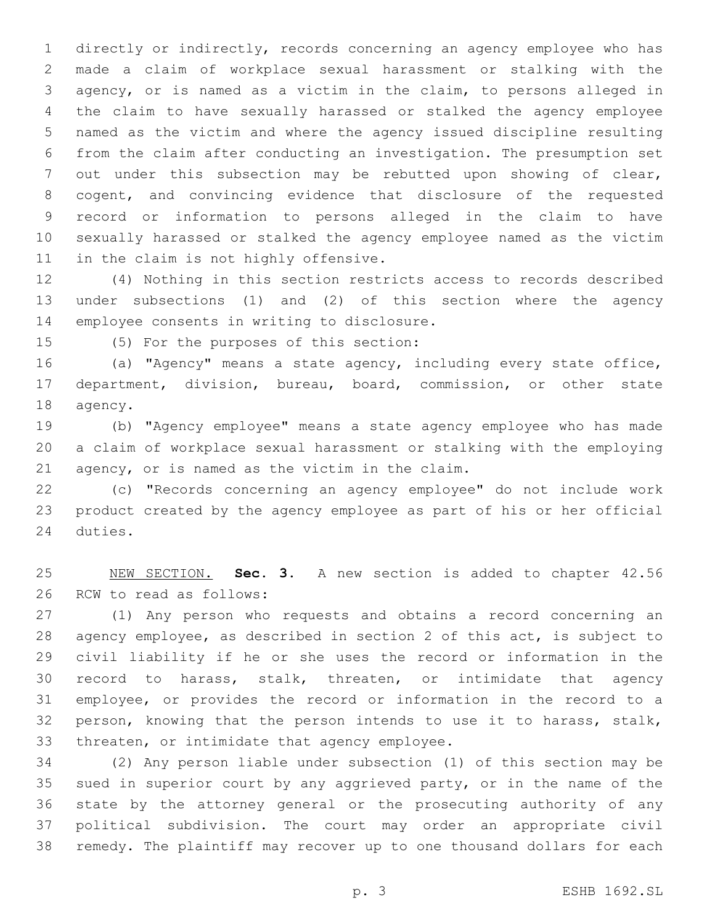directly or indirectly, records concerning an agency employee who has made a claim of workplace sexual harassment or stalking with the agency, or is named as a victim in the claim, to persons alleged in the claim to have sexually harassed or stalked the agency employee named as the victim and where the agency issued discipline resulting from the claim after conducting an investigation. The presumption set out under this subsection may be rebutted upon showing of clear, cogent, and convincing evidence that disclosure of the requested record or information to persons alleged in the claim to have sexually harassed or stalked the agency employee named as the victim 11 in the claim is not highly offensive.

 (4) Nothing in this section restricts access to records described under subsections (1) and (2) of this section where the agency 14 employee consents in writing to disclosure.

15 (5) For the purposes of this section:

 (a) "Agency" means a state agency, including every state office, department, division, bureau, board, commission, or other state 18 agency.

 (b) "Agency employee" means a state agency employee who has made a claim of workplace sexual harassment or stalking with the employing 21 agency, or is named as the victim in the claim.

 (c) "Records concerning an agency employee" do not include work product created by the agency employee as part of his or her official 24 duties.

 NEW SECTION. **Sec. 3.** A new section is added to chapter 42.56 26 RCW to read as follows:

 (1) Any person who requests and obtains a record concerning an agency employee, as described in section 2 of this act, is subject to civil liability if he or she uses the record or information in the record to harass, stalk, threaten, or intimidate that agency employee, or provides the record or information in the record to a person, knowing that the person intends to use it to harass, stalk, 33 threaten, or intimidate that agency employee.

 (2) Any person liable under subsection (1) of this section may be sued in superior court by any aggrieved party, or in the name of the state by the attorney general or the prosecuting authority of any political subdivision. The court may order an appropriate civil remedy. The plaintiff may recover up to one thousand dollars for each